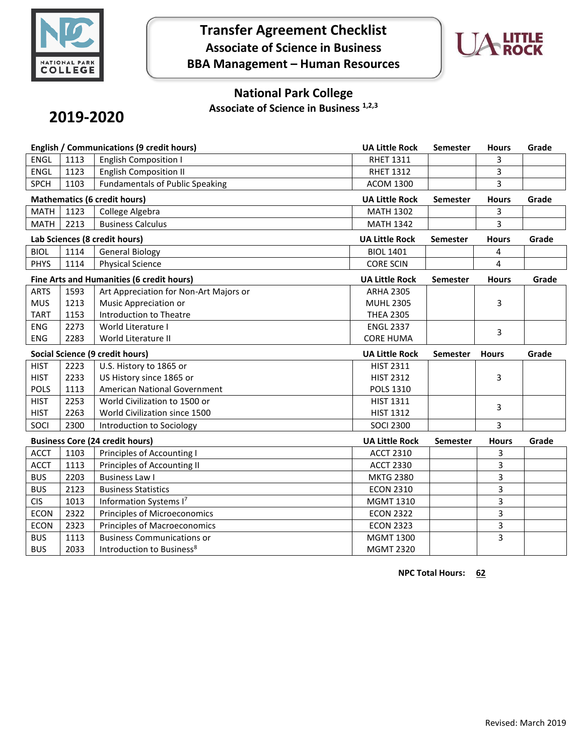

# **Transfer Agreement Checklist Associate of Science in Business BBA Management – Human Resources**



### **National Park College**

**Associate of Science in Business 1,2,3**

# **2019-2020**

| English / Communications (9 credit hours) |      |                                        | <b>UA Little Rock</b> | <b>Semester</b> | <b>Hours</b> | Grade |
|-------------------------------------------|------|----------------------------------------|-----------------------|-----------------|--------------|-------|
| <b>ENGL</b>                               | 1113 | <b>English Composition I</b>           | <b>RHET 1311</b>      |                 | 3            |       |
| <b>ENGL</b>                               | 1123 | <b>English Composition II</b>          | <b>RHET 1312</b>      |                 | 3            |       |
| <b>SPCH</b>                               | 1103 | <b>Fundamentals of Public Speaking</b> | <b>ACOM 1300</b>      |                 | 3            |       |
| <b>Mathematics (6 credit hours)</b>       |      |                                        | <b>UA Little Rock</b> | <b>Semester</b> | <b>Hours</b> | Grade |
| <b>MATH</b>                               | 1123 | College Algebra                        | <b>MATH 1302</b>      |                 | 3            |       |
| <b>MATH</b>                               | 2213 | <b>Business Calculus</b>               | <b>MATH 1342</b>      |                 | 3            |       |
| Lab Sciences (8 credit hours)             |      |                                        | <b>UA Little Rock</b> | <b>Semester</b> | <b>Hours</b> | Grade |
| <b>BIOL</b>                               | 1114 | <b>General Biology</b>                 | <b>BIOL 1401</b>      |                 | 4            |       |
| <b>PHYS</b>                               | 1114 | <b>Physical Science</b>                | <b>CORE SCIN</b>      |                 | 4            |       |
| Fine Arts and Humanities (6 credit hours) |      |                                        | <b>UA Little Rock</b> | <b>Semester</b> | <b>Hours</b> | Grade |
| <b>ARTS</b>                               | 1593 | Art Appreciation for Non-Art Majors or | <b>ARHA 2305</b>      |                 |              |       |
| <b>MUS</b>                                | 1213 | Music Appreciation or                  | <b>MUHL 2305</b>      |                 | 3            |       |
| <b>TART</b>                               | 1153 | Introduction to Theatre                | <b>THEA 2305</b>      |                 |              |       |
| <b>ENG</b>                                | 2273 | World Literature I                     | <b>ENGL 2337</b>      |                 | 3            |       |
| <b>ENG</b>                                | 2283 | World Literature II                    | <b>CORE HUMA</b>      |                 |              |       |
| Social Science (9 credit hours)           |      |                                        |                       |                 |              |       |
|                                           |      |                                        | <b>UA Little Rock</b> | <b>Semester</b> | <b>Hours</b> | Grade |
| <b>HIST</b>                               | 2223 | U.S. History to 1865 or                | <b>HIST 2311</b>      |                 |              |       |
| <b>HIST</b>                               | 2233 | US History since 1865 or               | <b>HIST 2312</b>      |                 | 3            |       |
| <b>POLS</b>                               | 1113 | American National Government           | POLS 1310             |                 |              |       |
| <b>HIST</b>                               | 2253 | World Civilization to 1500 or          | HIST 1311             |                 |              |       |
| <b>HIST</b>                               | 2263 | World Civilization since 1500          | <b>HIST 1312</b>      |                 | 3            |       |
| SOCI                                      | 2300 | Introduction to Sociology              | <b>SOCI 2300</b>      |                 | 3            |       |
|                                           |      | <b>Business Core (24 credit hours)</b> | <b>UA Little Rock</b> | Semester        | <b>Hours</b> | Grade |
| <b>ACCT</b>                               | 1103 | Principles of Accounting I             | <b>ACCT 2310</b>      |                 | 3            |       |
| <b>ACCT</b>                               | 1113 | Principles of Accounting II            | <b>ACCT 2330</b>      |                 | 3            |       |
| <b>BUS</b>                                | 2203 | <b>Business Law I</b>                  | <b>MKTG 2380</b>      |                 | 3            |       |
| <b>BUS</b>                                | 2123 | <b>Business Statistics</b>             | <b>ECON 2310</b>      |                 | 3            |       |
| <b>CIS</b>                                | 1013 | Information Systems I7                 | <b>MGMT 1310</b>      |                 | 3            |       |
| <b>ECON</b>                               | 2322 | Principles of Microeconomics           | <b>ECON 2322</b>      |                 | 3            |       |
| <b>ECON</b>                               | 2323 | <b>Principles of Macroeconomics</b>    | <b>ECON 2323</b>      |                 | 3            |       |
| <b>BUS</b>                                | 1113 | <b>Business Communications or</b>      | <b>MGMT 1300</b>      |                 | 3            |       |

**NPC Total Hours: 62**